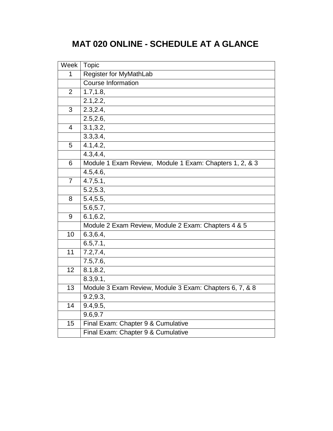# **MAT 020 ONLINE - SCHEDULE AT A GLANCE**

| Week           | <b>Topic</b>                                            |
|----------------|---------------------------------------------------------|
| 1              | Register for MyMathLab                                  |
|                | <b>Course Information</b>                               |
| $\overline{2}$ | 1.7, 1.8,                                               |
|                | 2.1, 2.2,                                               |
| 3              | 2.3, 2.4,                                               |
|                | 2.5, 2.6,                                               |
| 4              | 3.1, 3.2,                                               |
|                | 3.3,3.4,                                                |
| 5              | 4.1, 4.2,                                               |
|                | 4.3, 4.4,                                               |
| 6              | Module 1 Exam Review, Module 1 Exam: Chapters 1, 2, & 3 |
|                | 4.5, 4.6,                                               |
| $\overline{7}$ | 4.7,5.1,                                                |
|                | 5.2, 5.3,                                               |
| 8              | 5.4, 5.5,                                               |
|                | $\overline{5.6,5.7}$                                    |
| 9              | 6.1, 6.2,                                               |
|                | Module 2 Exam Review, Module 2 Exam: Chapters 4 & 5     |
| 10             | 6.3, 6.4,                                               |
|                | 6.5, 7.1,                                               |
| 11             | $\overline{7}.2,7.4,$                                   |
|                | 7.5, 7.6,                                               |
| 12             | 8.1, 8.2,                                               |
|                | 8.3, 9.1,                                               |
| 13             | Module 3 Exam Review, Module 3 Exam: Chapters 6, 7, & 8 |
|                | 9.2, 9.3,                                               |
| 14             | 9.4, 9.5,                                               |
|                | 9.6,9.7                                                 |
| 15             | Final Exam: Chapter 9 & Cumulative                      |
|                | Final Exam: Chapter 9 & Cumulative                      |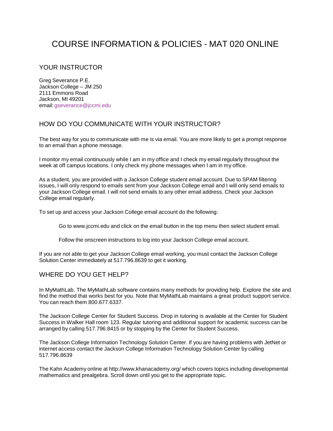## COURSE INFORMATION & POLICIES - MAT 020 ONLINE

## YOUR INSTRUCTOR

Greg Severance P.E. Jackson College – JM 250 2111 Emmons Road Jackson, MI 49201 email[:gseverance@jccmi.edu](mailto:gseverance@jccmi.edu)

## HOW DO YOU COMMUNICATE WITH YOUR INSTRUCTOR?

The best way for you to communicate with me is via email. You are more likely to get a prompt response to an email than a phone message.

I monitor my email continuously while I am in my office and I check my email regularly throughout the week at off campus locations. I only check my phone messages when I am in my office.

As a student, you are provided with a Jackson College student email account. Due to SPAM filtering issues, I will only respond to emails sent from your Jackson College email and I will only send emails to your Jackson College email. I will not send emails to any other email address. Check your Jackson College email regularly.

To set up and access your Jackson College email account do the following:

Go to [www.jccmi.edu](http://www.jccmi.edu/) and click on the email button in the top menu then select student email.

Follow the onscreen instructions to log into your Jackson College email account.

If you are not able to get your Jackson College email working, you must contact the Jackson College Solution Center immediately at 517.796.8639 to get it working.

## WHERE DO YOU GET HELP?

In MyMathLab. The MyMathLab software contains many methods for providing help. Explore the site and find the method that works best for you. Note that MyMathLab maintains a great product support service. You can reach them 800.677.6337.

The Jackson College Center for Student Success. Drop in tutoring is available at the Center for Student Success in Walker Hall room 123. Regular tutoring and additional support for academic success can be arranged by calling 517.796.8415 or by stopping by the Center for Student Success.

The Jackson College Information Technology Solution Center. If you are having problems with JetNet or internet access contact the Jackson College Information Technology Solution Center by calling 517.796.8639

The Kahn Academy online at <http://www.khanacademy.org/> which covers topics including developmental mathematics and prealgebra. Scroll down until you get to the appropriate topic.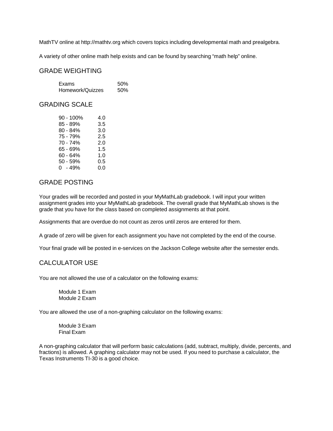MathTV online at [http://mathtv.org](http://mathtv.org/) which covers topics including developmental math and prealgebra.

A variety of other online math help exists and can be found by searching "math help" online.

#### GRADE WEIGHTING

| Exams            | 50% |
|------------------|-----|
| Homework/Quizzes | 50% |

#### GRADING SCALE

| $90 - 100\%$ | 4.0 |
|--------------|-----|
| 85 - 89%     | 3.5 |
| $80 - 84%$   | 3.0 |
| 75 - 79%     | 2.5 |
| 70 - 74%     | 2.0 |
| 65 - 69%     | 1.5 |
| 60 - 64%     | 1.0 |
| $50 - 59%$   | 0.5 |
| $0 - 49%$    | 0.0 |
|              |     |

### GRADE POSTING

Your grades will be recorded and posted in your MyMathLab gradebook. I will input your written assignment grades into your MyMathLab gradebook. The overall grade that MyMathLab shows is the grade that you have for the class based on completed assignments at that point.

Assignments that are overdue do not count as zeros until zeros are entered for them.

A grade of zero will be given for each assignment you have not completed by the end of the course.

Your final grade will be posted in e-services on the Jackson College website after the semester ends.

#### CALCULATOR USE

You are not allowed the use of a calculator on the following exams:

Module 1 Exam Module 2 Exam

You are allowed the use of a non-graphing calculator on the following exams:

Module 3 Exam Final Exam

A non-graphing calculator that will perform basic calculations (add, subtract, multiply, divide, percents, and fractions) is allowed. A graphing calculator may not be used. If you need to purchase a calculator, the Texas Instruments TI-30 is a good choice.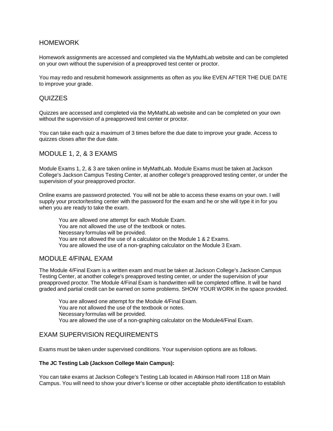#### HOMEWORK

Homework assignments are accessed and completed via the MyMathLab website and can be completed on your own without the supervision of a preapproved test center or proctor.

You may redo and resubmit homework assignments as often as you like EVEN AFTER THE DUE DATE to improve your grade.

#### QUIZZES

Quizzes are accessed and completed via the MyMathLab website and can be completed on your own without the supervision of a preapproved test center or proctor.

You can take each quiz a maximum of 3 times before the due date to improve your grade. Access to quizzes closes after the due date.

#### MODULE 1, 2, & 3 EXAMS

Module Exams 1, 2, & 3 are taken online in MyMathLab. Module Exams must be taken at Jackson College's Jackson Campus Testing Center, at another college's preapproved testing center, or under the supervision of your preapproved proctor.

Online exams are password protected. You will not be able to access these exams on your own. I will supply your proctor/testing center with the password for the exam and he or she will type it in for you when you are ready to take the exam.

You are allowed one attempt for each Module Exam. You are not allowed the use of the textbook or notes. Necessary formulas will be provided. You are not allowed the use of a calculator on the Module 1 & 2 Exams. You are allowed the use of a non-graphing calculator on the Module 3 Exam.

#### MODULE 4/FINAL EXAM

The Module 4/Final Exam is a written exam and must be taken at Jackson College's Jackson Campus Testing Center, at another college's preapproved testing center, or under the supervision of your preapproved proctor. The Module 4/Final Exam is handwritten will be completed offline. It will be hand graded and partial credit can be earned on some problems. SHOW YOUR WORK in the space provided.

You are allowed one attempt for the Module 4/Final Exam. You are not allowed the use of the textbook or notes. Necessary formulas will be provided. You are allowed the use of a non-graphing calculator on the Module4/Final Exam.

#### EXAM SUPERVISION REQUIREMENTS

Exams must be taken under supervised conditions. Your supervision options are as follows.

#### **The JC Testing Lab (Jackson College Main Campus):**

You can take exams at Jackson College's Testing Lab located in Atkinson Hall room 118 on Main Campus. You will need to show your driver's license or other acceptable photo identification to establish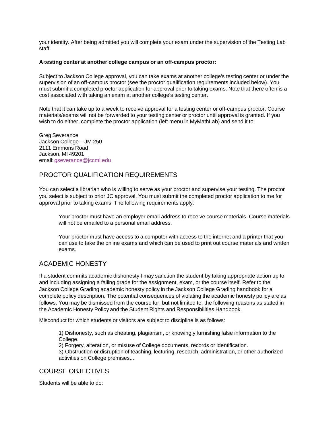your identity. After being admitted you will complete your exam under the supervision of the Testing Lab staff.

#### **A testing center at another college campus or an off-campus proctor:**

Subject to Jackson College approval, you can take exams at another college's testing center or under the supervision of an off-campus proctor (see the proctor qualification requirements included below). You must submit a completed proctor application for approval prior to taking exams. Note that there often is a cost associated with taking an exam at another college's testing center.

Note that it can take up to a week to receive approval for a testing center or off-campus proctor. Course materials/exams will not be forwarded to your testing center or proctor until approval is granted. If you wish to do either, complete the proctor application (left menu in MyMathLab) and send it to:

Greg Severance Jackson College – JM 250 2111 Emmons Road Jackson, MI 49201 email[:gseverance@jccmi.edu](mailto:gseverance@jccmi.edu)

## PROCTOR QUALIFICATION REQUIREMENTS

You can select a librarian who is willing to serve as your proctor and supervise your testing. The proctor you select is subject to prior JC approval. You must submit the completed proctor application to me for approval prior to taking exams. The following requirements apply:

Your proctor must have an employer email address to receive course materials. Course materials will not be emailed to a personal email address.

Your proctor must have access to a computer with access to the internet and a printer that you can use to take the online exams and which can be used to print out course materials and written exams.

## ACADEMIC HONESTY

If a student commits academic dishonesty I may sanction the student by taking appropriate action up to and including assigning a failing grade for the assignment, exam, or the course itself. Refer to the Jackson College Grading academic honesty policy in the Jackson College Grading handbook for a complete policy description. The potential consequences of violating the academic honesty policy are as follows. You may be dismissed from the course for, but not limited to, the following reasons as stated in the Academic Honesty Policy and the Student Rights and Responsibilities Handbook.

Misconduct for which students or visitors are subject to discipline is as follows:

1) Dishonesty, such as cheating, plagiarism, or knowingly furnishing false information to the College.

2) Forgery, alteration, or misuse of College documents, records or identification.

3) Obstruction or disruption of teaching, lecturing, research, administration, or other authorized activities on College premises...

## COURSE OBJECTIVES

Students will be able to do: